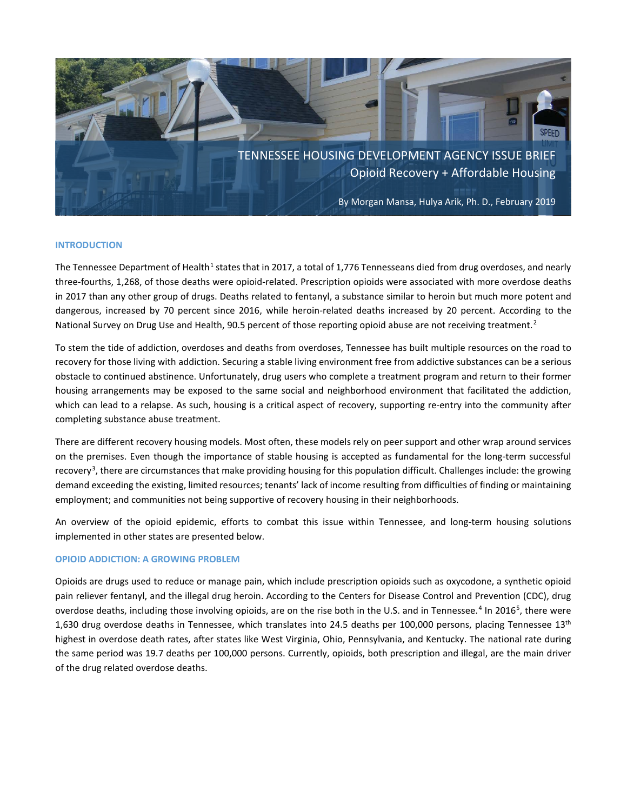

## **INTRODUCTION**

The Tennessee Department of Health<sup>[1](#page-6-0)</sup> states that in 2017, a total of 1,776 Tennesseans died from drug overdoses, and nearly three-fourths, 1,268, of those deaths were opioid-related. Prescription opioids were associated with more overdose deaths in 2017 than any other group of drugs. Deaths related to fentanyl, a substance similar to heroin but much more potent and dangerous, increased by 70 percent since 2016, while heroin-related deaths increased by 20 percent. According to the National Survey on Drug Use and Health, 90.5 percent of those reporting opioid abuse are not receiving treatment.<sup>[2](#page-6-1)</sup>

To stem the tide of addiction, overdoses and deaths from overdoses, Tennessee has built multiple resources on the road to recovery for those living with addiction. Securing a stable living environment free from addictive substances can be a serious obstacle to continued abstinence. Unfortunately, drug users who complete a treatment program and return to their former housing arrangements may be exposed to the same social and neighborhood environment that facilitated the addiction, which can lead to a relapse. As such, housing is a critical aspect of recovery, supporting re-entry into the community after completing substance abuse treatment.

There are different recovery housing models. Most often, these models rely on peer support and other wrap around services on the premises. Even though the importance of stable housing is accepted as fundamental for the long-term successful recovery<sup>[3](#page-6-2)</sup>, there are circumstances that make providing housing for this population difficult. Challenges include: the growing demand exceeding the existing, limited resources; tenants' lack of income resulting from difficulties of finding or maintaining employment; and communities not being supportive of recovery housing in their neighborhoods.

An overview of the opioid epidemic, efforts to combat this issue within Tennessee, and long-term housing solutions implemented in other states are presented below.

# **OPIOID ADDICTION: A GROWING PROBLEM**

Opioids are drugs used to reduce or manage pain, which include prescription opioids such as oxycodone, a synthetic opioid pain reliever fentanyl, and the illegal drug heroin. According to the Centers for Disease Control and Prevention (CDC), drug overdose deaths, including those involving opioids, are on the rise both in the U.S. and in Tennessee.<sup>[4](#page-6-3)</sup> In 2016<sup>[5](#page-6-4)</sup>, there were 1,630 drug overdose deaths in Tennessee, which translates into 24.5 deaths per 100,000 persons, placing Tennessee 13<sup>th</sup> highest in overdose death rates, after states like West Virginia, Ohio, Pennsylvania, and Kentucky. The national rate during the same period was 19.7 deaths per 100,000 persons. Currently, opioids, both prescription and illegal, are the main driver of the drug related overdose deaths.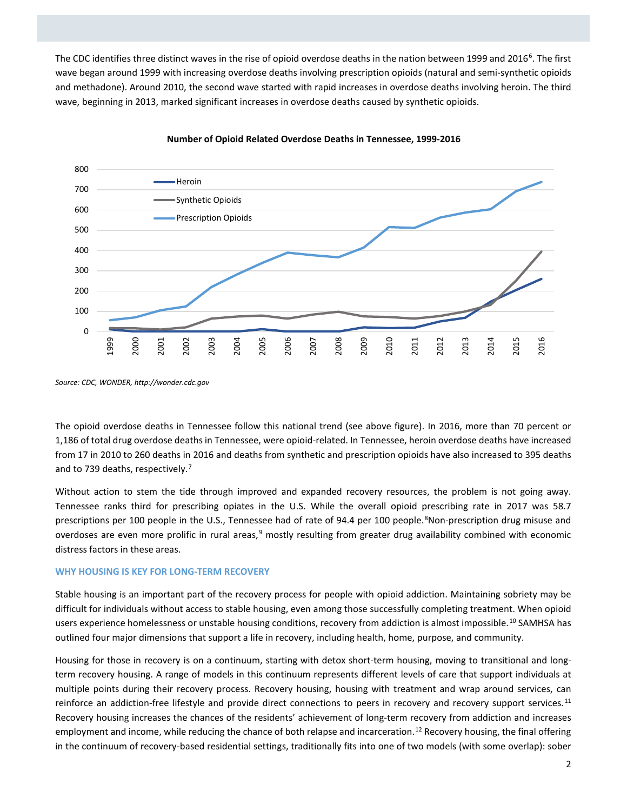The CDC identifies three distinct waves in the rise of opioid overdose deaths in the nation between 1999 and 201[6](#page-6-5)<sup>6</sup>. The first wave began around 1999 with increasing overdose deaths involving prescription opioids (natural and semi-synthetic opioids and methadone). Around 2010, the second wave started with rapid increases in overdose deaths involving heroin. The third wave, beginning in 2013, marked significant increases in overdose deaths caused by synthetic opioids.



## **Number of Opioid Related Overdose Deaths in Tennessee, 1999-2016**

*Source: CDC, WONDER, http://wonder.cdc.gov*

The opioid overdose deaths in Tennessee follow this national trend (see above figure). In 2016, more than 70 percent or 1,186 of total drug overdose deaths in Tennessee, were opioid-related. In Tennessee, heroin overdose deaths have increased from 17 in 2010 to 260 deaths in 2016 and deaths from synthetic and prescription opioids have also increased to 395 deaths and to [7](#page-6-6)39 deaths, respectively.<sup>7</sup>

Without action to stem the tide through improved and expanded recovery resources, the problem is not going away. Tennessee ranks third for prescribing opiates in the U.S. While the overall opioid prescribing rate in 2017 was 58.7 prescriptions per 100 people in the U.S., Tennessee had of rate of 94.4 per 100 people.<sup>[8](#page-6-7)</sup>Non-prescription drug misuse and overdoses are even more prolific in rural areas, $9$  mostly resulting from greater drug availability combined with economic distress factors in these areas.

# **WHY HOUSING IS KEY FOR LONG-TERM RECOVERY**

Stable housing is an important part of the recovery process for people with opioid addiction. Maintaining sobriety may be difficult for individuals without access to stable housing, even among those successfully completing treatment. When opioid users experience homelessness or unstable housing conditions, recovery from addiction is almost impossible.<sup>[10](#page-6-9)</sup> SAMHSA has outlined four major dimensions that support a life in recovery, including health, home, purpose, and community.

Housing for those in recovery is on a continuum, starting with detox short-term housing, moving to transitional and longterm recovery housing. A range of models in this continuum represents different levels of care that support individuals at multiple points during their recovery process. Recovery housing, housing with treatment and wrap around services, can reinforce an addiction-free lifestyle and provide direct connections to peers in recovery and recovery support services.<sup>[11](#page-6-10)</sup> Recovery housing increases the chances of the residents' achievement of long-term recovery from addiction and increases employment and income, while reducing the chance of both relapse and incarceration.<sup>[12](#page-6-11)</sup> Recovery housing, the final offering in the continuum of recovery-based residential settings, traditionally fits into one of two models (with some overlap): sober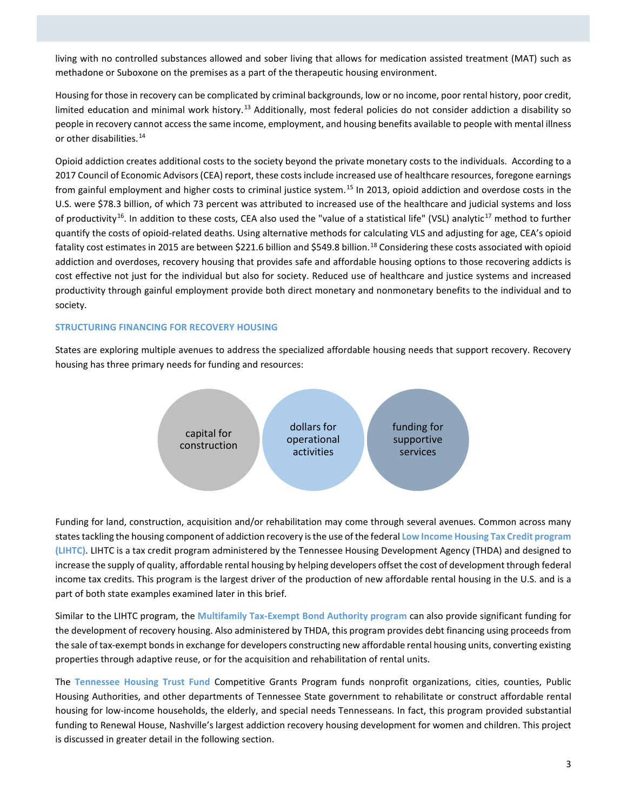living with no controlled substances allowed and sober living that allows for medication assisted treatment (MAT) such as methadone or Suboxone on the premises as a part of the therapeutic housing environment.

Housing for those in recovery can be complicated by criminal backgrounds, low or no income, poor rental history, poor credit, limited education and minimal work history.<sup>[13](#page-6-12)</sup> Additionally, most federal policies do not consider addiction a disability so people in recovery cannot access the same income, employment, and housing benefits available to people with mental illness or other disabilities.<sup>[14](#page-6-13)</sup>

Opioid addiction creates additional costs to the society beyond the private monetary costs to the individuals. According to a 2017 Council of Economic Advisors (CEA) report, these costs include increased use of healthcare resources, foregone earnings from gainful employment and higher costs to criminal justice system.<sup>[15](#page-6-14)</sup> In 2013, opioid addiction and overdose costs in the U.S. were \$78.3 billion, of which 73 percent was attributed to increased use of the healthcare and judicial systems and loss of productivity<sup>[16](#page-6-15)</sup>. In addition to these costs, CEA also used the "value of a statistical life" (VSL) analytic<sup>[17](#page-6-16)</sup> method to further quantify the costs of opioid-related deaths. Using alternative methods for calculating VLS and adjusting for age, CEA's opioid fatality cost estimates in 2015 are between \$221.6 billion and \$549.8 billion.[18](#page-6-17) Considering these costs associated with opioid addiction and overdoses, recovery housing that provides safe and affordable housing options to those recovering addicts is cost effective not just for the individual but also for society. Reduced use of healthcare and justice systems and increased productivity through gainful employment provide both direct monetary and nonmonetary benefits to the individual and to society.

## **STRUCTURING FINANCING FOR RECOVERY HOUSING**

States are exploring multiple avenues to address the specialized affordable housing needs that support recovery. Recovery housing has three primary needs for funding and resources:



Funding for land, construction, acquisition and/or rehabilitation may come through several avenues. Common across many states tackling the housing component of addiction recovery is the use of the federal **Low Income Housing Tax Credit program (LIHTC)**. LIHTC is a tax credit program administered by the Tennessee Housing Development Agency (THDA) and designed to increase the supply of quality, affordable rental housing by helping developers offset the cost of development through federal income tax credits. This program is the largest driver of the production of new affordable rental housing in the U.S. and is a part of both state examples examined later in this brief.

Similar to the LIHTC program, the **Multifamily Tax-Exempt Bond Authority program** can also provide significant funding for the development of recovery housing. Also administered by THDA, this program provides debt financing using proceeds from the sale of tax-exempt bonds in exchange for developers constructing new affordable rental housing units, converting existing properties through adaptive reuse, or for the acquisition and rehabilitation of rental units.

The **Tennessee Housing Trust Fund** Competitive Grants Program funds nonprofit organizations, cities, counties, Public Housing Authorities, and other departments of Tennessee State government to rehabilitate or construct affordable rental housing for low-income households, the elderly, and special needs Tennesseans. In fact, this program provided substantial funding to Renewal House, Nashville's largest addiction recovery housing development for women and children. This project is discussed in greater detail in the following section.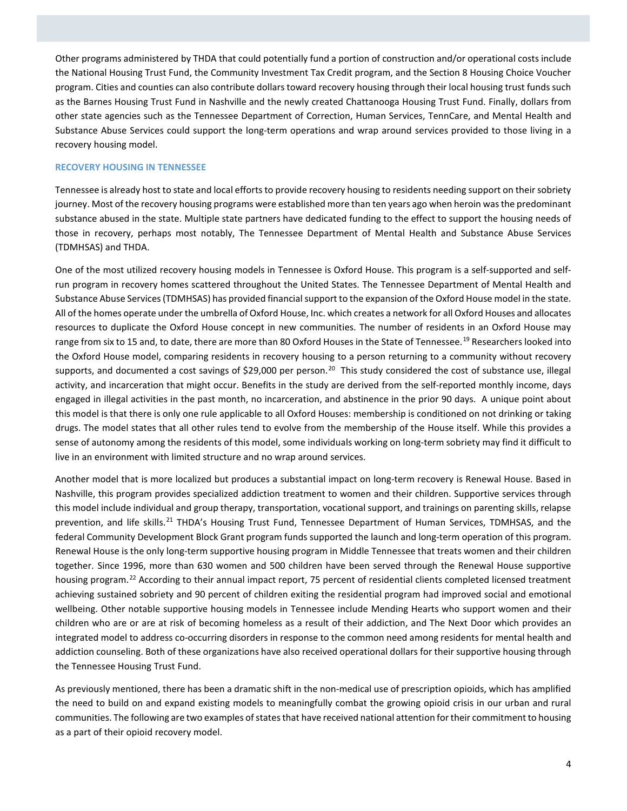Other programs administered by THDA that could potentially fund a portion of construction and/or operational costs include the National Housing Trust Fund, the Community Investment Tax Credit program, and the Section 8 Housing Choice Voucher program. Cities and counties can also contribute dollars toward recovery housing through their local housing trust funds such as the Barnes Housing Trust Fund in Nashville and the newly created Chattanooga Housing Trust Fund. Finally, dollars from other state agencies such as the Tennessee Department of Correction, Human Services, TennCare, and Mental Health and Substance Abuse Services could support the long-term operations and wrap around services provided to those living in a recovery housing model.

### **RECOVERY HOUSING IN TENNESSEE**

Tennessee is already host to state and local efforts to provide recovery housing to residents needing support on their sobriety journey. Most of the recovery housing programs were established more than ten years ago when heroin was the predominant substance abused in the state. Multiple state partners have dedicated funding to the effect to support the housing needs of those in recovery, perhaps most notably, The Tennessee Department of Mental Health and Substance Abuse Services (TDMHSAS) and THDA.

One of the most utilized recovery housing models in Tennessee is Oxford House. This program is a self-supported and selfrun program in recovery homes scattered throughout the United States. The Tennessee Department of Mental Health and Substance Abuse Services (TDMHSAS) has provided financial support to the expansion of the Oxford House model in the state. All of the homes operate under the umbrella of Oxford House, Inc. which creates a network for all Oxford Houses and allocates resources to duplicate the Oxford House concept in new communities. The number of residents in an Oxford House may range from six to 15 and, to date, there are more than 80 Oxford Houses in the State of Tennessee.<sup>[19](#page-6-18)</sup> Researchers looked into the Oxford House model, comparing residents in recovery housing to a person returning to a community without recovery supports, and documented a cost savings of \$29,000 per person.<sup>[20](#page-6-19)</sup> This study considered the cost of substance use, illegal activity, and incarceration that might occur. Benefits in the study are derived from the self-reported monthly income, days engaged in illegal activities in the past month, no incarceration, and abstinence in the prior 90 days. A unique point about this model is that there is only one rule applicable to all Oxford Houses: membership is conditioned on not drinking or taking drugs. The model states that all other rules tend to evolve from the membership of the House itself. While this provides a sense of autonomy among the residents of this model, some individuals working on long-term sobriety may find it difficult to live in an environment with limited structure and no wrap around services.

Another model that is more localized but produces a substantial impact on long-term recovery is Renewal House. Based in Nashville, this program provides specialized addiction treatment to women and their children. Supportive services through this model include individual and group therapy, transportation, vocational support, and trainings on parenting skills, relapse prevention, and life skills.<sup>[21](#page-6-20)</sup> THDA's Housing Trust Fund, Tennessee Department of Human Services, TDMHSAS, and the federal Community Development Block Grant program funds supported the launch and long-term operation of this program. Renewal House is the only long-term supportive housing program in Middle Tennessee that treats women and their children together. Since 1996, more than 630 women and 500 children have been served through the Renewal House supportive housing program.<sup>[22](#page-6-21)</sup> According to their annual impact report, 75 percent of residential clients completed licensed treatment achieving sustained sobriety and 90 percent of children exiting the residential program had improved social and emotional wellbeing. Other notable supportive housing models in Tennessee include Mending Hearts who support women and their children who are or are at risk of becoming homeless as a result of their addiction, and The Next Door which provides an integrated model to address co-occurring disorders in response to the common need among residents for mental health and addiction counseling. Both of these organizations have also received operational dollars for their supportive housing through the Tennessee Housing Trust Fund.

As previously mentioned, there has been a dramatic shift in the non-medical use of prescription opioids, which has amplified the need to build on and expand existing models to meaningfully combat the growing opioid crisis in our urban and rural communities. The following are two examples of states that have received national attention for their commitment to housing as a part of their opioid recovery model.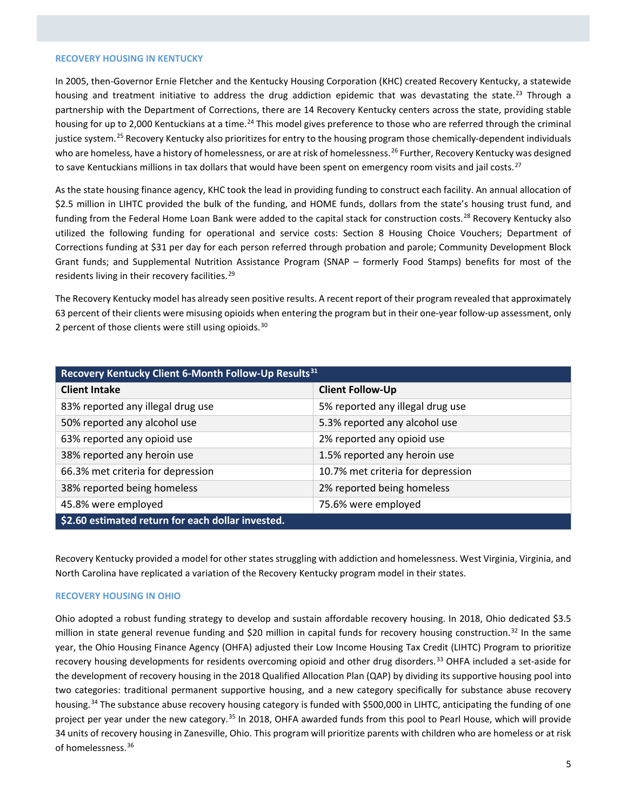#### **RECOVERY HOUSING IN KENTUCKY**

In 2005, then-Governor Ernie Fletcher and the Kentucky Housing Corporation (KHC) created Recovery Kentucky, a statewide housing and treatment initiative to address the drug addiction epidemic that was devastating the state.<sup>[23](#page-6-22)</sup> Through a partnership with the Department of Corrections, there are 14 Recovery Kentucky centers across the state, providing stable housing for up to 2,000 Kentuckians at a time.<sup>[24](#page-6-23)</sup> This model gives preference to those who are referred through the criminal justice system.<sup>[25](#page-6-24)</sup> Recovery Kentucky also prioritizes for entry to the housing program those chemically-dependent individuals who are homeless, have a history of homelessness, or are at risk of homelessness.<sup>[26](#page-6-25)</sup> Further, Recovery Kentucky was designed to save Kentuckians millions in tax dollars that would have been spent on emergency room visits and jail costs.<sup>[27](#page-6-26)</sup>

As the state housing finance agency, KHC took the lead in providing funding to construct each facility. An annual allocation of \$2.5 million in LIHTC provided the bulk of the funding, and HOME funds, dollars from the state's housing trust fund, and funding from the Federal Home Loan Bank were added to the capital stack for construction costs.<sup>[28](#page-6-27)</sup> Recovery Kentucky also utilized the following funding for operational and service costs: Section 8 Housing Choice Vouchers; Department of Corrections funding at \$31 per day for each person referred through probation and parole; Community Development Block Grant funds; and Supplemental Nutrition Assistance Program (SNAP – formerly Food Stamps) benefits for most of the residents living in their recovery facilities.<sup>[29](#page-6-28)</sup>

The Recovery Kentucky model has already seen positive results. A recent report of their program revealed that approximately 63 percent of their clients were misusing opioids when entering the program but in their one-year follow-up assessment, only 2 percent of those clients were still using opioids.<sup>[30](#page-6-29)</sup>

| Recovery Kentucky Client 6-Month Follow-Up Results <sup>31</sup> |                                   |
|------------------------------------------------------------------|-----------------------------------|
| <b>Client Intake</b>                                             | <b>Client Follow-Up</b>           |
| 83% reported any illegal drug use                                | 5% reported any illegal drug use  |
| 50% reported any alcohol use                                     | 5.3% reported any alcohol use     |
| 63% reported any opioid use                                      | 2% reported any opioid use        |
| 38% reported any heroin use                                      | 1.5% reported any heroin use      |
| 66.3% met criteria for depression                                | 10.7% met criteria for depression |
| 38% reported being homeless                                      | 2% reported being homeless        |
| 45.8% were employed                                              | 75.6% were employed               |
| \$2.60 estimated return for each dollar invested.                |                                   |

Recovery Kentucky provided a model for other states struggling with addiction and homelessness. West Virginia, Virginia, and North Carolina have replicated a variation of the Recovery Kentucky program model in their states.

### **RECOVERY HOUSING IN OHIO**

Ohio adopted a robust funding strategy to develop and sustain affordable recovery housing. In 2018, Ohio dedicated \$3.5 million in state general revenue funding and \$20 million in capital funds for recovery housing construction.<sup>[32](#page-6-31)</sup> In the same year, the Ohio Housing Finance Agency (OHFA) adjusted their Low Income Housing Tax Credit (LIHTC) Program to prioritize recovery housing developments for residents overcoming opioid and other drug disorders.<sup>[33](#page-6-32)</sup> OHFA included a set-aside for the development of recovery housing in the 2018 Qualified Allocation Plan (QAP) by dividing its supportive housing pool into two categories: traditional permanent supportive housing, and a new category specifically for substance abuse recovery housing.[34](#page-6-33) The substance abuse recovery housing category is funded with \$500,000 in LIHTC, anticipating the funding of one project per year under the new category.<sup>[35](#page-6-34)</sup> In 2018, OHFA awarded funds from this pool to Pearl House, which will provide 34 units of recovery housing in Zanesville, Ohio. This program will prioritize parents with children who are homeless or at risk of homelessness.<sup>[36](#page-6-35)</sup>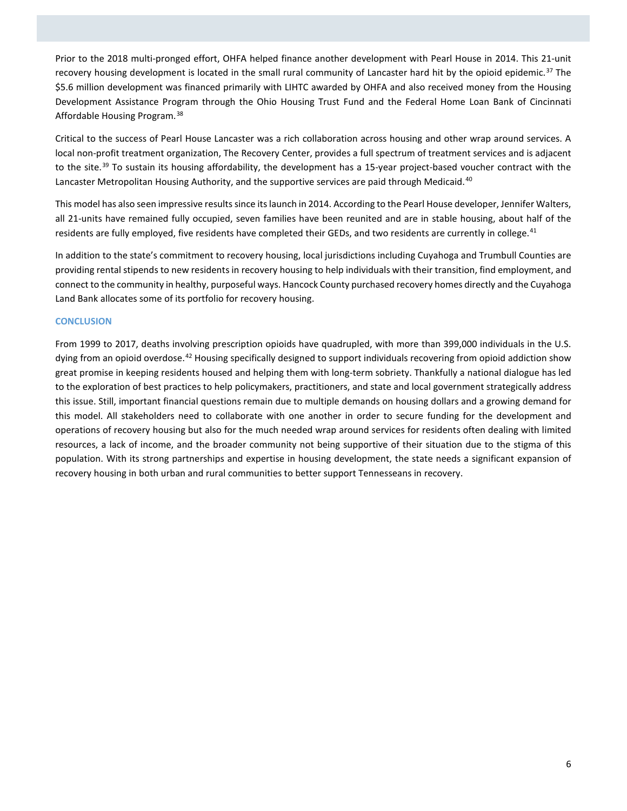Prior to the 2018 multi-pronged effort, OHFA helped finance another development with Pearl House in 2014. This 21-unit recovery housing development is located in the small rural community of Lancaster hard hit by the opioid epidemic. $37$  The \$5.6 million development was financed primarily with LIHTC awarded by OHFA and also received money from the Housing Development Assistance Program through the Ohio Housing Trust Fund and the Federal Home Loan Bank of Cincinnati Affordable Housing Program.[38](#page-6-37)

Critical to the success of Pearl House Lancaster was a rich collaboration across housing and other wrap around services. A local non-profit treatment organization, The Recovery Center, provides a full spectrum of treatment services and is adjacent to the site.<sup>[39](#page-6-38)</sup> To sustain its housing affordability, the development has a 15-year project-based voucher contract with the Lancaster Metropolitan Housing Authority, and the supportive services are paid through Medicaid.<sup>[40](#page-7-0)</sup>

This model has also seen impressive results since its launch in 2014. According to the Pearl House developer, Jennifer Walters, all 21-units have remained fully occupied, seven families have been reunited and are in stable housing, about half of the residents are fully employed, five residents have completed their GEDs, and two residents are currently in college.<sup>[41](#page-7-1)</sup>

In addition to the state's commitment to recovery housing, local jurisdictions including Cuyahoga and Trumbull Counties are providing rental stipends to new residents in recovery housing to help individuals with their transition, find employment, and connect to the community in healthy, purposeful ways. Hancock County purchased recovery homes directly and the Cuyahoga Land Bank allocates some of its portfolio for recovery housing.

# **CONCLUSION**

From 1999 to 2017, deaths involving prescription opioids have quadrupled, with more than 399,000 individuals in the U.S. dying from an opioid overdose.<sup>[42](#page-7-2)</sup> Housing specifically designed to support individuals recovering from opioid addiction show great promise in keeping residents housed and helping them with long-term sobriety. Thankfully a national dialogue has led to the exploration of best practices to help policymakers, practitioners, and state and local government strategically address this issue. Still, important financial questions remain due to multiple demands on housing dollars and a growing demand for this model. All stakeholders need to collaborate with one another in order to secure funding for the development and operations of recovery housing but also for the much needed wrap around services for residents often dealing with limited resources, a lack of income, and the broader community not being supportive of their situation due to the stigma of this population. With its strong partnerships and expertise in housing development, the state needs a significant expansion of recovery housing in both urban and rural communities to better support Tennesseans in recovery.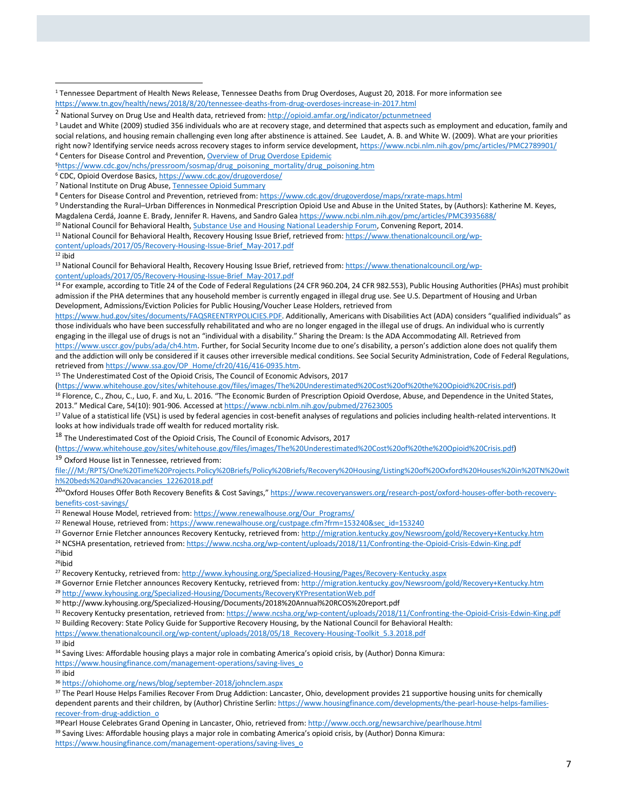<span id="page-6-2"></span><sup>3</sup> Laudet and White (2009) studied 356 individuals who are at recovery stage, and determined that aspects such as employment and education, family and social relations, and housing remain challenging even long after abstinence is attained. See Laudet, A. B. and White W. (2009). What are your priorities right now? Identifying service needs across recovery stages to inform service development[, https://www.ncbi.nlm.nih.gov/pmc/articles/PMC2789901/](https://www.ncbi.nlm.nih.gov/pmc/articles/PMC2789901/) <sup>4</sup> Centers for Disease Control and Prevention[, Overview of Drug Overdose Epidemic](https://www.cdc.gov/drugoverdose/data/index.html)

<span id="page-6-4"></span><span id="page-6-3"></span>[5https://www.cdc.gov/nchs/pressroom/sosmap/drug\\_poisoning\\_mortality/drug\\_poisoning.htm](https://www.cdc.gov/nchs/pressroom/sosmap/drug_poisoning_mortality/drug_poisoning.htm)

<span id="page-6-6"></span><sup>7</sup> National Institute on Drug Abuse[, Tennessee Opioid Summary](https://www.drugabuse.gov/drugs-abuse/opioids/opioid-summaries-by-state/tennessee-opioid-summary)

<span id="page-6-7"></span>8 Centers for Disease Control and Prevention, retrieved from[: https://www.cdc.gov/drugoverdose/maps/rxrate-maps.html](https://www.cdc.gov/drugoverdose/maps/rxrate-maps.html)

<span id="page-6-8"></span><sup>9</sup> Understanding the Rural–Urban Differences in Nonmedical Prescription Opioid Use and Abuse in the United States, by (Authors): Katherine M. Keyes, Magdalena Cerdá, Joanne E. Brady, Jennifer R. Havens, and Sandro Galea<https://www.ncbi.nlm.nih.gov/pmc/articles/PMC3935688/>

<span id="page-6-9"></span><sup>10</sup> National Council for Behavioral Health[, Substance Use and Housing National Leadership Forum,](https://www.thenationalcouncil.org/wp-content/uploads/2015/09/SUHLF-Convening-Report_FINAL.pdf) Convening Report, 2014.

<span id="page-6-10"></span><sup>11</sup> National Council for Behavioral Health, Recovery Housing Issue Brief, retrieved from[: https://www.thenationalcouncil.org/wp-](https://www.thenationalcouncil.org/wp-content/uploads/2017/05/Recovery-Housing-Issue-Brief_May-2017.pdf)

[content/uploads/2017/05/Recovery-Housing-Issue-Brief\\_May-2017.pdf](https://www.thenationalcouncil.org/wp-content/uploads/2017/05/Recovery-Housing-Issue-Brief_May-2017.pdf)

<span id="page-6-11"></span> $12$  ibid

 $\overline{a}$ 

<span id="page-6-12"></span><sup>13</sup> National Council for Behavioral Health, Recovery Housing Issue Brief, retrieved from[: https://www.thenationalcouncil.org/wp](https://www.thenationalcouncil.org/wp-content/uploads/2017/05/Recovery-Housing-Issue-Brief_May-2017.pdf)[content/uploads/2017/05/Recovery-Housing-Issue-Brief\\_May-2017.pdf](https://www.thenationalcouncil.org/wp-content/uploads/2017/05/Recovery-Housing-Issue-Brief_May-2017.pdf)

<span id="page-6-13"></span><sup>14</sup> For example, according to Title 24 of the Code of Federal Regulations (24 CFR 960.204, 24 CFR 982.553), Public Housing Authorities (PHAs) must prohibit admission if the PHA determines that any household member is currently engaged in illegal drug use. See U.S. Department of Housing and Urban Development, Admissions/Eviction Policies for Public Housing/Voucher Lease Holders, retrieved from

[https://www.hud.gov/sites/documents/FAQSREENTRYPOLICIES.PDF.](https://www.hud.gov/sites/documents/FAQSREENTRYPOLICIES.PDF) Additionally, Americans with Disabilities Act (ADA) considers "qualified individuals" as those individuals who have been successfully rehabilitated and who are no longer engaged in the illegal use of drugs. An individual who is currently engaging in the illegal use of drugs is not an "individual with a disability." Sharing the Dream: Is the ADA Accommodating All. Retrieved from [https://www.usccr.gov/pubs/ada/ch4.htm.](https://www.usccr.gov/pubs/ada/ch4.htm) Further, for Social Security Income due to one's disability, a person's addiction alone does not qualify them and the addiction will only be considered if it causes other irreversible medical conditions. See Social Security Administration, Code of Federal Regulations,

<span id="page-6-14"></span>retrieved fro[m https://www.ssa.gov/OP\\_Home/cfr20/416/416-0935.htm.](https://www.ssa.gov/OP_Home/cfr20/416/416-0935.htm) 15 The Underestimated Cost of the Opioid Crisis, The Council of Economic Advisors, 2017

<span id="page-6-15"></span>[\(https://www.whitehouse.gov/sites/whitehouse.gov/files/images/The%20Underestimated%20Cost%20of%20the%20Opioid%20Crisis.pdf\)](https://www.whitehouse.gov/sites/whitehouse.gov/files/images/The%20Underestimated%20Cost%20of%20the%20Opioid%20Crisis.pdf)<br><sup>16</sup> Florence, C., Zhou, C., Luo, F. and Xu, L. 2016. "The Economic Burden of Prescription Opioid 2013." Medical Care, 54(10): 901-906. Accessed a[t https://www.ncbi.nlm.nih.gov/pubmed/27623005](https://www.ncbi.nlm.nih.gov/pubmed/27623005)

<span id="page-6-16"></span><sup>17</sup> Value of a statistical life (VSL) is used by federal agencies in cost-benefit analyses of regulations and policies including health-related interventions. It looks at how individuals trade off wealth for reduced mortality risk.

<span id="page-6-17"></span><sup>18</sup> The Underestimated Cost of the Opioid Crisis, The Council of Economic Advisors, 2017

[\(https://www.whitehouse.gov/sites/whitehouse.gov/files/images/The%20Underestimated%20Cost%20of%20the%20Opioid%20Crisis.pdf\)](https://www.whitehouse.gov/sites/whitehouse.gov/files/images/The%20Underestimated%20Cost%20of%20the%20Opioid%20Crisis.pdf)

<span id="page-6-18"></span><sup>19</sup> Oxford House list in Tennessee, retrieved from:

[file:///M:/RPTS/One%20Time%20Projects.Policy%20Briefs/Policy%20Briefs/Recovery%20Housing/Listing%20of%20Oxford%20Houses%20in%20TN%20wit](file://nv-app-03/thda2/RPTS/One%20Time%20Projects.Policy%20Briefs/Policy%20Briefs/Recovery%20Housing/Listing%20of%20Oxford%20Houses%20in%20TN%20with%20beds%20and%20vacancies_12262018.pdf) [h%20beds%20and%20vacancies\\_12262018.pdf](file://nv-app-03/thda2/RPTS/One%20Time%20Projects.Policy%20Briefs/Policy%20Briefs/Recovery%20Housing/Listing%20of%20Oxford%20Houses%20in%20TN%20with%20beds%20and%20vacancies_12262018.pdf)

<span id="page-6-19"></span><sup>20</sup>"Oxford Houses Offer Both Recovery Benefits & Cost Savings," [https://www.recoveryanswers.org/research-post/oxford-houses-offer-both-recovery](https://www.recoveryanswers.org/research-post/oxford-houses-offer-both-recovery-benefits-cost-savings/)[benefits-cost-savings/](https://www.recoveryanswers.org/research-post/oxford-houses-offer-both-recovery-benefits-cost-savings/)

<span id="page-6-20"></span><sup>21</sup> Renewal House Model, retrieved from[: https://www.renewalhouse.org/Our\\_Programs/](https://www.renewalhouse.org/Our_Programs/)

- <span id="page-6-21"></span><sup>22</sup> Renewal House, retrieved from[: https://www.renewalhouse.org/custpage.cfm?frm=153240&sec\\_id=153240](https://www.renewalhouse.org/custpage.cfm?frm=153240&sec_id=153240)
- <span id="page-6-22"></span><sup>23</sup> Governor Ernie Fletcher announces Recovery Kentucky, retrieved from[: http://migration.kentucky.gov/Newsroom/gold/Recovery+Kentucky.htm](http://migration.kentucky.gov/Newsroom/gold/Recovery+Kentucky.htm)

<span id="page-6-23"></span><sup>24</sup> NCSHA presentation, retrieved from[: https://www.ncsha.org/wp-content/uploads/2018/11/Confronting-the-Opioid-Crisis-Edwin-King.pdf](https://www.ncsha.org/wp-content/uploads/2018/11/Confronting-the-Opioid-Crisis-Edwin-King.pdf)  $25$ ibid

<span id="page-6-25"></span><span id="page-6-24"></span>2[6ibid](https://www.thenationalcouncil.org/wp-content/uploads/2018/05/18_Recovery-Housing-Toolkit_5.3.2018.pdf)

<span id="page-6-26"></span><sup>27</sup> Recovery Kentucky, retrieved from[: http://www.kyhousing.org/Specialized-Housing/Pages/Recovery-Kentucky.aspx](http://www.kyhousing.org/Specialized-Housing/Pages/Recovery-Kentucky.aspx)

<span id="page-6-27"></span><sup>28</sup> Governor Ernie Fletcher announces Recovery Kentucky, retrieved from[: http://migration.kentucky.gov/Newsroom/gold/Recovery+Kentucky.htm](http://migration.kentucky.gov/Newsroom/gold/Recovery+Kentucky.htm)

- <span id="page-6-28"></span><sup>29</sup> <http://www.kyhousing.org/Specialized-Housing/Documents/RecoveryKYPresentationWeb.pdf>
- <span id="page-6-29"></span><sup>30</sup> http://www.kyhousing.org/Specialized-Housing/Documents/2018%20Annual%20RCOS%20report.pdf
- <span id="page-6-30"></span>31 Recovery Kentucky presentation, retrieved from[: https://www.ncsha.org/wp-content/uploads/2018/11/Confronting-the-Opioid-Crisis-Edwin-King.pdf](https://www.ncsha.org/wp-content/uploads/2018/11/Confronting-the-Opioid-Crisis-Edwin-King.pdf)

<span id="page-6-31"></span>32 Building Recovery: State Policy Guide for Supportive Recovery Housing, by the National Council for Behavioral Health: [https://www.thenationalcouncil.org/wp-content/uploads/2018/05/18\\_Recovery-Housing-Toolkit\\_5.3.2018.pdf](https://www.thenationalcouncil.org/wp-content/uploads/2018/05/18_Recovery-Housing-Toolkit_5.3.2018.pdf)

<span id="page-6-32"></span> $33$  [ibid](https://www.thenationalcouncil.org/wp-content/uploads/2018/05/18_Recovery-Housing-Toolkit_5.3.2018.pdf)

<span id="page-6-33"></span>34 Saving Lives: Affordable housing plays a major role in combating America's opioid crisis, by (Author) Donna Kimura:

[https://www.housingfinance.com/management-operations/saving-lives\\_o](https://www.housingfinance.com/management-operations/saving-lives_o)

<span id="page-6-34"></span> $35$  ibid

<span id="page-6-35"></span><sup>36</sup> <https://ohiohome.org/news/blog/september-2018/johnclem.aspx>

<span id="page-6-36"></span>37 The Pearl House Helps Families Recover From Drug Addiction: Lancaster, Ohio, development provides 21 supportive housing units for chemically dependent parents and their children, by (Author) Christine Serlin[: https://www.housingfinance.com/developments/the-pearl-house-helps-families](https://www.housingfinance.com/developments/the-pearl-house-helps-families-recover-from-drug-addiction_o)[recover-from-drug-addiction\\_o](https://www.housingfinance.com/developments/the-pearl-house-helps-families-recover-from-drug-addiction_o)

<span id="page-6-38"></span><span id="page-6-37"></span>38Pearl House Celebrates Grand Opening in Lancaster, Ohio, retrieved from[: http://www.occh.org/newsarchive/pearlhouse.html](http://www.occh.org/newsarchive/pearlhouse.html) <sup>39</sup> Saving Lives: Affordable housing plays a major role in combating America's opioid crisis, by (Author) Donna Kimura: [https://www.housingfinance.com/management-operations/saving-lives\\_o](https://www.housingfinance.com/management-operations/saving-lives_o)

<span id="page-6-0"></span><sup>&</sup>lt;sup>1</sup> Tennessee Department of Health News Release, Tennessee Deaths from Drug Overdoses, August 20, 2018. For more information see <https://www.tn.gov/health/news/2018/8/20/tennessee-deaths-from-drug-overdoses-increase-in-2017.html>

<span id="page-6-1"></span><sup>&</sup>lt;sup>2</sup> National Survey on Drug Use and Health data, retrieved from[: http://opioid.amfar.org/indicator/pctunmetneed](http://opioid.amfar.org/indicator/pctunmetneed)

<span id="page-6-5"></span><sup>6</sup> CDC, Opioid Overdose Basics[, https://www.cdc.gov/drugoverdose/](https://www.cdc.gov/drugoverdose/)